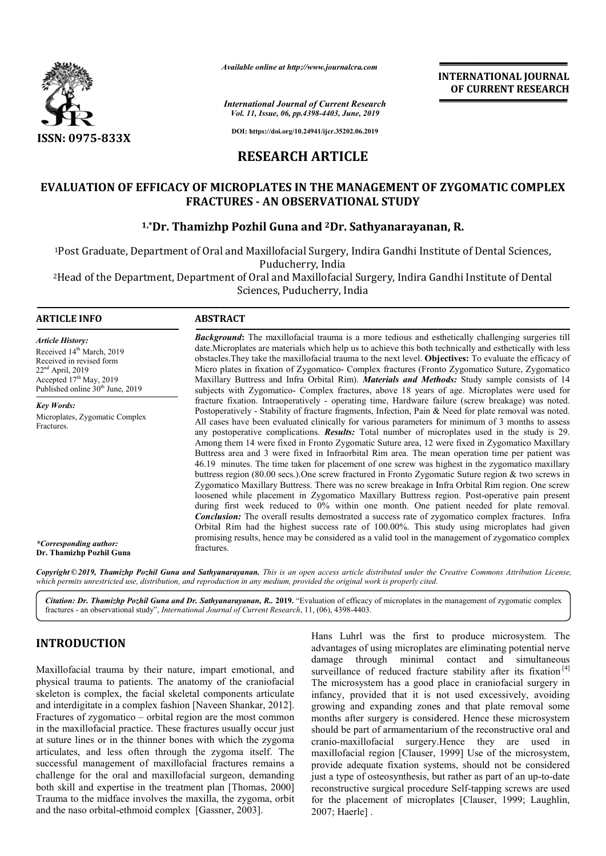

*Available online at http://www.journalcra.com*

*International Journal of Current Research Vol. 11, Issue, 06, pp.4398-4403, June, 2019*

**DOI: https://doi.org/10.24941/ijcr.35202.06.2019**

## **RESEARCH ARTICLE**

# **EVALUATION OF EFFICACY OF MICROPLATES IN THE MANAGEMENT OF ZYGOMATIC COMPLEX FRACTURES - AN OBSERVATIONAL STUDY** FFICACY OF MICROPLATES IN THE MANAGEMENT OF ZYG:<br>FRACTURES - AN OBSERVATIONAL STUDY<br><sup>1,</sup>\*Dr. Thamizhp Pozhil Guna and <sup>2</sup>Dr. Sathyanarayanan, R.

1Post Graduate, Department of Oral and Maxillofacial Surgery, Indira Gandhi Institute of Dental Sciences, Post Puducherry, India <sup>1</sup>Post Graduate, Department of Oral and Maxillofacial Surgery, Indira Gandhi Institute of Dental Sciences,<br>Puducherry, India<br>Head of the Department, Department of Oral and Maxillofacial Surgery, Indira Gandhi Institute of

Sciences, Puducherry, India

### **ARTICLE INFO ABSTRACT**

*Article History:* Received 14<sup>th</sup> March, 2019 Received in revised form 22<sup>nd</sup> April, 2019 Accepted  $17<sup>th</sup>$  May, 2019 Published online  $30<sup>th</sup>$  June, 2019

*Key Words:* Microplates, Zygomatic Complex Fractures.

*Background* **:** The maxillofacial trauma is a more tedious and esthetically challenging surgeries till **Background:** The maxillofacial trauma is a more tedious and esthetically challenging surgeries till date. Microplates are materials which help us to achieve this both technically and esthetically with less obstacles.They take the maxillofacial trauma to the next level. **Objectives Objectives:** To evaluate the efficacy of Micro plates in fixation of Zygomatico Zygomatico- Complex fractures (Fronto Zygomatico Suture, Zygomatico Zygomatico Maxillary Buttress and Infra Orbital Rim). *Materials and Methods Methods:* Study sample consists of 14 subjects with Zygomatico Zygomatico- Complex fractures, above 18 years of age. Microplates were used for fracture fixation. Intraoperatively - operating time, Hardware failure (screw breakage) was noted. Postoperatively - Stability of fracture fragments, Infection, Pain & Need for plate remov All cases have been evaluated clinically for various parameters for minimum of 3 months to assess any postoperative complications. *Results:* Total number of microplates used in the study is 29. Among them 14 were fixed in Fronto Zygomatic Suture area, 12 were fixed in Zygomatico Maxillary Buttress area and 3 were fixed in Infraorbital Rim area. The mean operation time per patient was 46.19 minutes. The time taken for placement of one screw was highest in the zygomatico maxillary buttress region (80.00 secs.).One screw fractured in Fronto Zygomatic Suture region & Zygomatico Maxillary Buttress. There was no screw breakage in Infra Orbital Rim region. One screw Zygomatico Maxillary Buttress. There was no screw breakage in Infra Orbital Rim region. One screw loosened while placement in Zygomatico Maxillary Buttress region. Post-operative pain present during first week reduced to 0% within one month. One patient needed for plate removal. during first week reduced to 0% within one month. One patient needed for plate removal.<br>**Conclusion:** The overall results demostrated a success rate of zygomatico complex fractures. Infra Orbital Rim had the highest success rate of 100.00%. This study using microplates had given promising results, hence may be considered as a valid tool in the management of zygomatico complex fractures. for 18 years of age. Microplates were used for Hardware failure (screw breakage) was noted.<br>tion, Pain & Need for plate removal was noted. All cases have been evaluated clinically for various parameters for minimum of 3 months to assess any postoperative complications. *Results*: Total number of microplates used in the study is 29. Among them 14 were fixed

**INTERNATIONAL JOURNAL OF CURRENT RESEARCH**

*\*Corresponding author:*  **Dr. Thamizhp Pozhil Guna**

**Copyright©2019, Thamizhp Pozhil Guna and Sathyanarayanan.** This is an open access article distributed under the Creative Commons Attribution License,<br>which permits unrestricted use, distribution, and reproduction in any m *which permits unrestricted use, distribution, and reproduction in any medium, provided the original work is properly cited.*

Citation: Dr. Thamizhp Pozhil Guna and Dr. Sathyanarayanan, R. 2019. "Evaluation of efficacy of microplates in the management of zygomatic complex fractures - an observational study", *International Journal of Current Research* , 11, (06), 4398-4403.

## **INTRODUCTION**

Maxillofacial trauma by their nature, impart emotional, and physical trauma to patients. The anatomy of the craniofacial skeleton is complex, the facial skeletal components articulate and interdigitate in a complex fashion [Naveen Shankar, 2012]. Fractures of zygomatico – orbital region are the most common in the maxillofacial practice. These fractures usually occur just at suture lines or in the thinner bones with which the zygoma articulates, and less often through the zygoma itself. The successful management of maxillofacial fractures remains a challenge for the oral and maxillofacial surgeon, demanding both skill and expertise in the treatment plan [Thomas, 2000] Trauma to the midface involves the maxilla, the zygoma, orbit and the naso orbital-ethmoid complex [Gassner Gassner, 2003].

Hans Luhrl was the first to produce microsystem. The advantages of using microplates are eliminating potential nerve damage through minimal contact and simultaneous Hans Luhrl was the first to produce microsystem. The advantages of using microplates are eliminating potential nerver damage through minimal contact and simultaneous surveillance of reduced fracture stability after its fix The microsystem has a good place in craniofacial surgery in infancy, provided that it is not used excessively, avoiding growing and expanding zones and that plate removal some months after surgery is considered. Hence these microsystem should be part of armamentarium of the reconstructive oral and cranio-maxillofacial surgery.Hence they are used in maxillofacial region [Clauser, 1999] Use of the microsystem. provide adequate fixation systems, should not be considered provide adequate fixation systems, should not be considered just a type of osteosynthesis, but rather as part of an up-to-date reconstructive surgical procedure Self-tapping screws are used for the placement of microplates [Clauser, 1999; Laughlin, 2007; Haerle] . icrosystem has a good place in craniofacial surgery in<br> *n*, provided that it is not used excessively, avoiding<br>
g and expanding zones and that plate removal some<br>
is after surgery is considered. Hence these microsystem<br>
b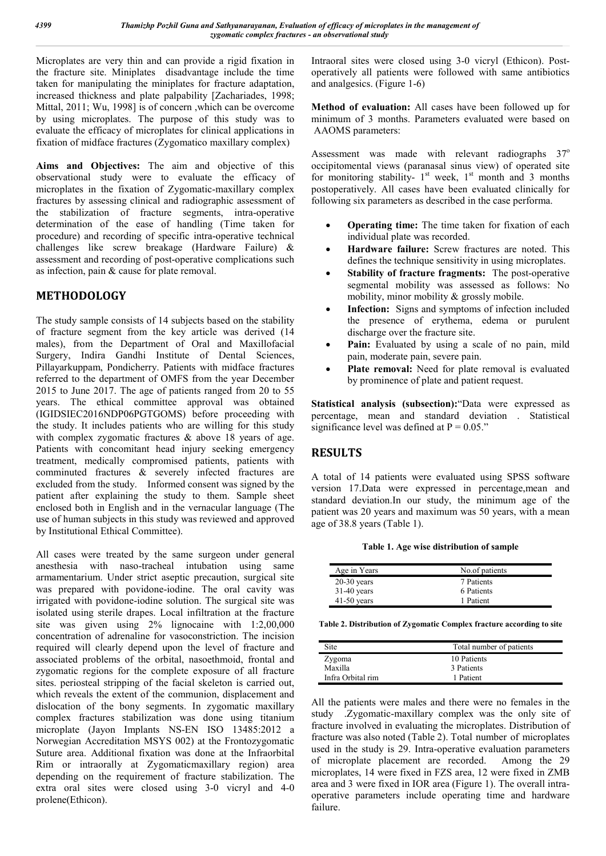Microplates are very thin and can provide a rigid fixation in the fracture site. Miniplates disadvantage include the time taken for manipulating the miniplates for fracture adaptation, increased thickness and plate palpability [Zachariades, 1998; Mittal, 2011; Wu, 1998] is of concern ,which can be overcome by using microplates. The purpose of this study was to evaluate the efficacy of microplates for clinical applications in fixation of midface fractures (Zygomatico maxillary complex)

**Aims and Objectives:** The aim and objective of this observational study were to evaluate the efficacy of microplates in the fixation of Zygomatic-maxillary complex fractures by assessing clinical and radiographic assessment of the stabilization of fracture segments, intra-operative determination of the ease of handling (Time taken for procedure) and recording of specific intra-operative technical challenges like screw breakage (Hardware Failure) & assessment and recording of post-operative complications such as infection, pain & cause for plate removal.

## **METHODOLOGY**

The study sample consists of 14 subjects based on the stability of fracture segment from the key article was derived (14 males), from the Department of Oral and Maxillofacial Surgery, Indira Gandhi Institute of Dental Sciences, Pillayarkuppam, Pondicherry. Patients with midface fractures referred to the department of OMFS from the year December 2015 to June 2017. The age of patients ranged from 20 to 55 years. The ethical committee approval was obtained (IGIDSIEC2016NDP06PGTGOMS) before proceeding with the study. It includes patients who are willing for this study with complex zygomatic fractures & above 18 years of age. Patients with concomitant head injury seeking emergency treatment, medically compromised patients, patients with comminuted fractures & severely infected fractures are excluded from the study. Informed consent was signed by the patient after explaining the study to them. Sample sheet enclosed both in English and in the vernacular language (The use of human subjects in this study was reviewed and approved by Institutional Ethical Committee).

All cases were treated by the same surgeon under general anesthesia with naso-tracheal intubation using same armamentarium. Under strict aseptic precaution, surgical site was prepared with povidone-iodine. The oral cavity was irrigated with povidone-iodine solution. The surgical site was isolated using sterile drapes. Local infiltration at the fracture site was given using 2% lignocaine with 1:2,00,000 concentration of adrenaline for vasoconstriction. The incision required will clearly depend upon the level of fracture and associated problems of the orbital, nasoethmoid, frontal and zygomatic regions for the complete exposure of all fracture sites. periosteal stripping of the facial skeleton is carried out, which reveals the extent of the communion, displacement and dislocation of the bony segments. In zygomatic maxillary complex fractures stabilization was done using titanium microplate (Jayon Implants NS-EN ISO 13485:2012 a Norwegian Accreditation MSYS 002) at the Frontozygomatic Suture area. Additional fixation was done at the Infraorbital Rim or intraorally at Zygomaticmaxillary region) area depending on the requirement of fracture stabilization. The extra oral sites were closed using 3-0 vicryl and 4-0 prolene(Ethicon).

Intraoral sites were closed using 3-0 vicryl (Ethicon). Postoperatively all patients were followed with same antibiotics and analgesics. (Figure 1-6)

**Method of evaluation:** All cases have been followed up for minimum of 3 months. Parameters evaluated were based on AAOMS parameters:

Assessment was made with relevant radiographs  $37^\circ$ occipitomental views (paranasal sinus view) of operated site for monitoring stability-  $1<sup>st</sup>$  week,  $1<sup>st</sup>$  month and 3 months postoperatively. All cases have been evaluated clinically for following six parameters as described in the case performa.

- **Operating time:** The time taken for fixation of each individual plate was recorded.
- **Hardware failure:** Screw fractures are noted. This defines the technique sensitivity in using microplates.
- **Stability of fracture fragments:** The post-operative segmental mobility was assessed as follows: No mobility, minor mobility & grossly mobile.
- **Infection:** Signs and symptoms of infection included the presence of erythema, edema or purulent discharge over the fracture site.
- **Pain:** Evaluated by using a scale of no pain, mild pain, moderate pain, severe pain.
- **Plate removal:** Need for plate removal is evaluated by prominence of plate and patient request.

**Statistical analysis (subsection):**"Data were expressed as percentage, mean and standard deviation . Statistical significance level was defined at  $P = 0.05$ ."

## **RESULTS**

A total of 14 patients were evaluated using SPSS software version 17.Data were expressed in percentage,mean and standard deviation.In our study, the minimum age of the patient was 20 years and maximum was 50 years, with a mean age of 38.8 years (Table 1).

**Table 1. Age wise distribution of sample**

| Age in Years  | No.of patients |
|---------------|----------------|
| $20-30$ years | 7 Patients     |
| $31-40$ years | 6 Patients     |
| $41-50$ years | 1 Patient      |

**Table 2. Distribution of Zygomatic Complex fracture according to site**

| Site              | Total number of patients |  |  |
|-------------------|--------------------------|--|--|
| Zygoma            | 10 Patients              |  |  |
| Maxilla           | 3 Patients               |  |  |
| Infra Orbital rim | 1 Patient                |  |  |

All the patients were males and there were no females in the study .Zygomatic-maxillary complex was the only site of fracture involved in evaluating the microplates. Distribution of fracture was also noted (Table 2). Total number of microplates used in the study is 29. Intra-operative evaluation parameters of microplate placement are recorded. Among the 29 microplates, 14 were fixed in FZS area, 12 were fixed in ZMB area and 3 were fixed in IOR area (Figure 1). The overall intraoperative parameters include operating time and hardware failure.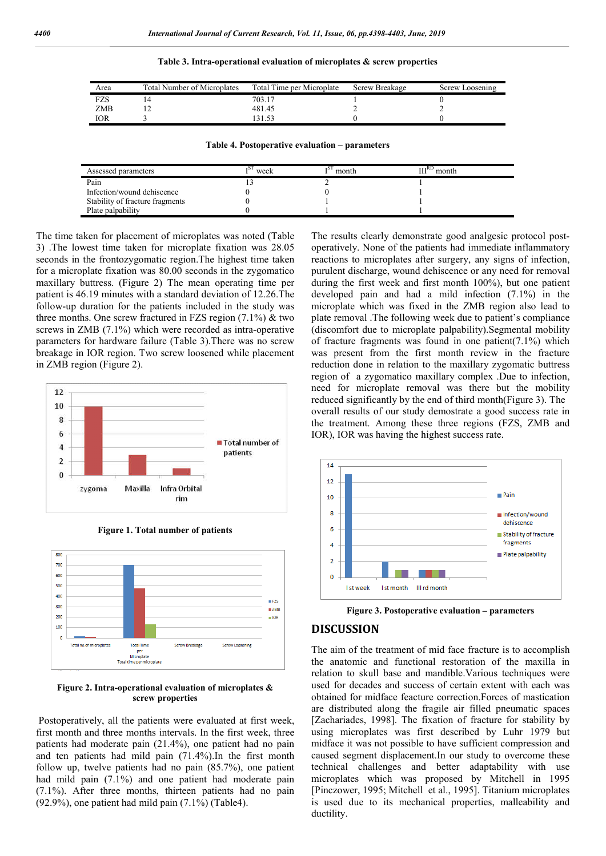#### **Table 3. Intra-operational evaluation of microplates & screw properties**

| Area       | <b>Total Number of Microplates</b> | Total Time per Microplate | Screw Breakage | Screw Loosening |
|------------|------------------------------------|---------------------------|----------------|-----------------|
| FZS        |                                    | 703.17                    |                |                 |
| <b>ZMB</b> |                                    | 481.45                    |                |                 |
| IOR        |                                    |                           |                |                 |

#### **Table 4. Postoperative evaluation – parameters**

| Assessed parameters             | week | тS<br>month | $\text{III}^{\text{RD}}$ month |
|---------------------------------|------|-------------|--------------------------------|
| Pain                            |      |             |                                |
| Infection/wound dehiscence      |      |             |                                |
| Stability of fracture fragments |      |             |                                |
| Plate palpability               |      |             |                                |

The time taken for placement of microplates was noted (Table 3) .The lowest time taken for microplate fixation was 28.05 seconds in the frontozygomatic region.The highest time taken for a microplate fixation was 80.00 seconds in the zygomatico maxillary buttress. (Figure 2) The mean operating time per patient is 46.19 minutes with a standard deviation of 12.26.The follow-up duration for the patients included in the study was three months. One screw fractured in FZS region  $(7.1\%)$  & two screws in ZMB (7.1%) which were recorded as intra-operative parameters for hardware failure (Table 3).There was no screw breakage in IOR region. Two screw loosened while placement in ZMB region (Figure 2).



**Figure 1. Total number of patients**



**Figure 2. Intra-operational evaluation of microplates & screw properties**

Postoperatively, all the patients were evaluated at first week, first month and three months intervals. In the first week, three patients had moderate pain (21.4%), one patient had no pain and ten patients had mild pain (71.4%).In the first month follow up, twelve patients had no pain (85.7%), one patient had mild pain  $(7.1\%)$  and one patient had moderate pain (7.1%). After three months, thirteen patients had no pain (92.9%), one patient had mild pain (7.1%) (Table4).

The results clearly demonstrate good analgesic protocol postoperatively. None of the patients had immediate inflammatory reactions to microplates after surgery, any signs of infection, purulent discharge, wound dehiscence or any need for removal during the first week and first month 100%), but one patient developed pain and had a mild infection (7.1%) in the microplate which was fixed in the ZMB region also lead to plate removal .The following week due to patient's compliance (discomfort due to microplate palpability).Segmental mobility of fracture fragments was found in one patient(7.1%) which was present from the first month review in the fracture reduction done in relation to the maxillary zygomatic buttress region of a zygomatico maxillary complex .Due to infection, need for microplate removal was there but the mobility reduced significantly by the end of third month(Figure 3). The overall results of our study demostrate a good success rate in the treatment. Among these three regions (FZS, ZMB and IOR), IOR was having the highest success rate.





## **DISCUSSION**

The aim of the treatment of mid face fracture is to accomplish the anatomic and functional restoration of the maxilla in relation to skull base and mandible.Various techniques were used for decades and success of certain extent with each was obtained for midface feacture correction.Forces of mastication are distributed along the fragile air filled pneumatic spaces [Zachariades, 1998]. The fixation of fracture for stability by using microplates was first described by Luhr 1979 but midface it was not possible to have sufficient compression and caused segment displacement.In our study to overcome these technical challenges and better adaptability with use microplates which was proposed by Mitchell in 1995 [Pinczower, 1995; Mitchell et al., 1995]. Titanium microplates is used due to its mechanical properties, malleability and ductility.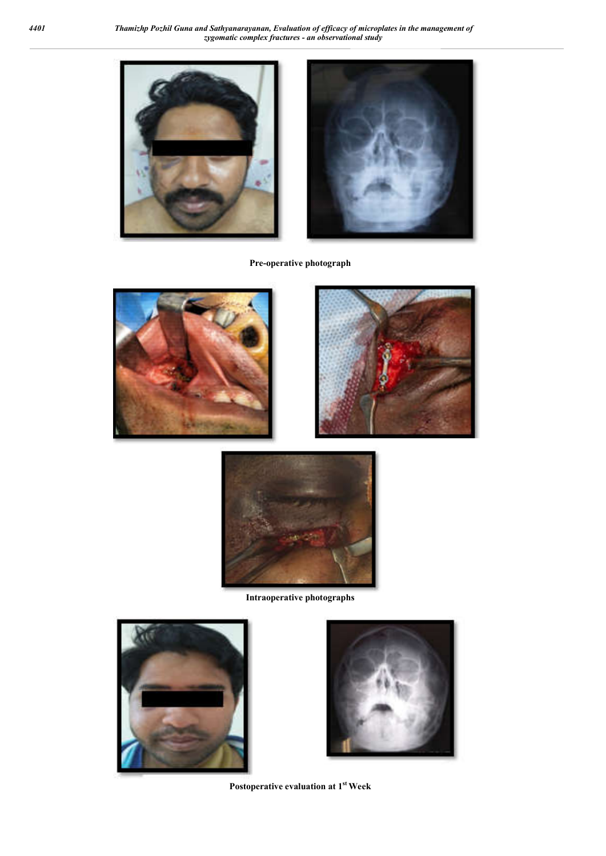

**Pre-operative photograph**







**Intraoperative photographs**





**Postoperative evaluation at 1st Week**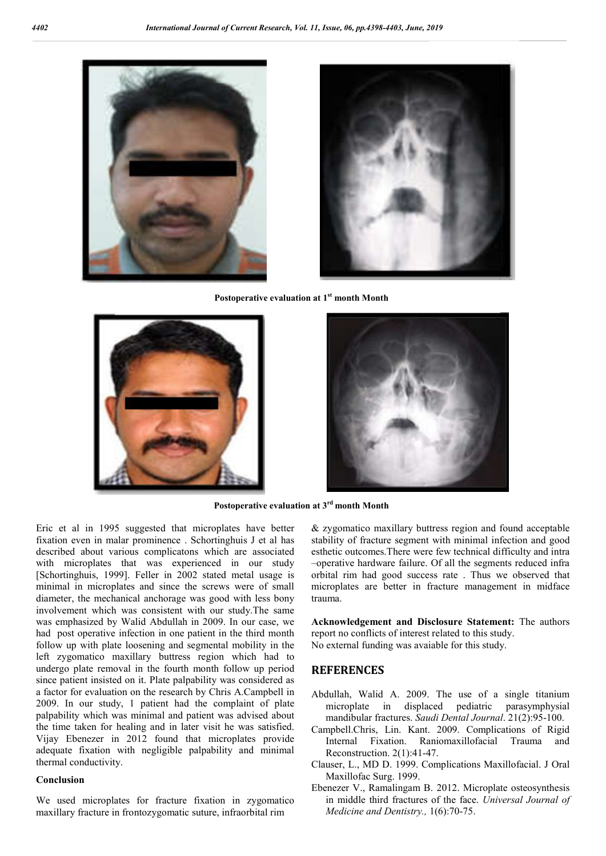



**Postoperative evaluation at 1st month Month**





**Postoperative evaluation at 3rd month Month**

Eric et al in 1995 suggested that microplates have better fixation even in malar prominence . Schortinghuis J et al has described about various complicatons which are associated with microplates that was experienced in our study [Schortinghuis, 1999]. Feller in 2002 stated metal usage is minimal in microplates and since the screws were of small diameter, the mechanical anchorage was good with less bony involvement which was consistent with our study.The same was emphasized by Walid Abdullah in 2009. In our case, we had post operative infection in one patient in the third month follow up with plate loosening and segmental mobility in the left zygomatico maxillary buttress region which had to undergo plate removal in the fourth month follow up period since patient insisted on it. Plate palpability was considered as a factor for evaluation on the research by Chris A.Campbell in 2009. In our study, 1 patient had the complaint of plate palpability which was minimal and patient was advised about the time taken for healing and in later visit he was satisfied. Vijay Ebenezer in 2012 found that microplates provide adequate fixation with negligible palpability and minimal thermal conductivity.

### **Conclusion**

We used microplates for fracture fixation in zygomatico maxillary fracture in frontozygomatic suture, infraorbital rim

& zygomatico maxillary buttress region and found acceptable stability of fracture segment with minimal infection and good esthetic outcomes.There were few technical difficulty and intra –operative hardware failure. Of all the segments reduced infra orbital rim had good success rate . Thus we observed that microplates are better in fracture management in midface trauma.

**Acknowledgement and Disclosure Statement:** The authors report no conflicts of interest related to this study.

No external funding was avaiable for this study.

## **REFERENCES**

- Abdullah, Walid A. 2009. The use of a single titanium microplate in displaced pediatric parasymphysial mandibular fractures. *Saudi Dental Journal*. 21(2):95-100.
- Campbell.Chris, Lin. Kant. 2009. Complications of Rigid Internal Fixation. Raniomaxillofacial Trauma and Reconstruction. 2(1):41-47.
- Clauser, L., MD D. 1999. Complications Maxillofacial. J Oral Maxillofac Surg. 1999.
- Ebenezer V., Ramalingam B. 2012. Microplate osteosynthesis in middle third fractures of the face. *Universal Journal of Medicine and Dentistry.,* 1(6):70-75.